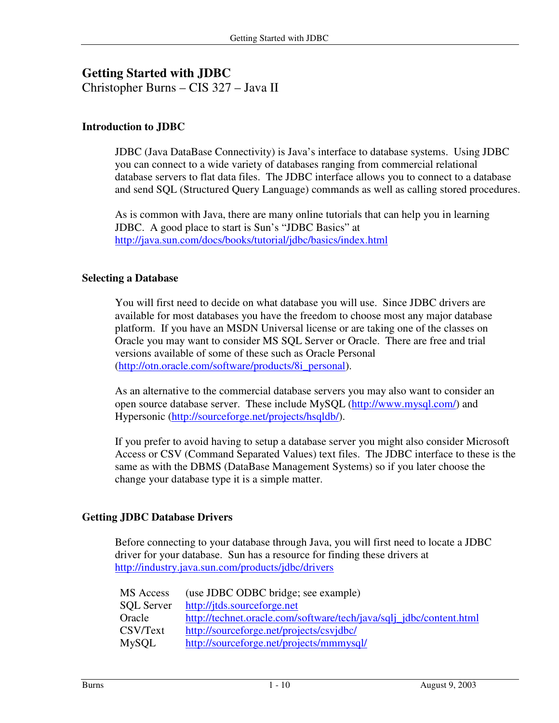# **Getting Started with JDBC**

Christopher Burns – CIS 327 – Java II

## **Introduction to JDBC**

JDBC (Java DataBase Connectivity) is Java's interface to database systems. Using JDBC you can connect to a wide variety of databases ranging from commercial relational database servers to flat data files. The JDBC interface allows you to connect to a database and send SQL (Structured Query Language) commands as well as calling stored procedures.

As is common with Java, there are many online tutorials that can help you in learning JDBC. A good place to start is Sun's "JDBC Basics" at http://java.sun.com/docs/books/tutorial/jdbc/basics/index.html

### **Selecting a Database**

You will first need to decide on what database you will use. Since JDBC drivers are available for most databases you have the freedom to choose most any major database platform. If you have an MSDN Universal license or are taking one of the classes on Oracle you may want to consider MS SQL Server or Oracle. There are free and trial versions available of some of these such as Oracle Personal (http://otn.oracle.com/software/products/8i\_personal).

As an alternative to the commercial database servers you may also want to consider an open source database server. These include MySQL (http://www.mysql.com/) and Hypersonic (http://sourceforge.net/projects/hsqldb/).

If you prefer to avoid having to setup a database server you might also consider Microsoft Access or CSV (Command Separated Values) text files. The JDBC interface to these is the same as with the DBMS (DataBase Management Systems) so if you later choose the change your database type it is a simple matter.

### **Getting JDBC Database Drivers**

Before connecting to your database through Java, you will first need to locate a JDBC driver for your database. Sun has a resource for finding these drivers at http://industry.java.sun.com/products/jdbc/drivers

| MS Access         | (use JDBC ODBC bridge; see example)                                 |
|-------------------|---------------------------------------------------------------------|
| <b>SOL</b> Server | http://jtds.sourceforge.net                                         |
| Oracle            | http://technet.oracle.com/software/tech/java/sqlj_jdbc/content.html |
| CSV/Text          | http://sourceforge.net/projects/csvjdbc/                            |
| <b>MySQL</b>      | http://sourceforge.net/projects/mmmysql/                            |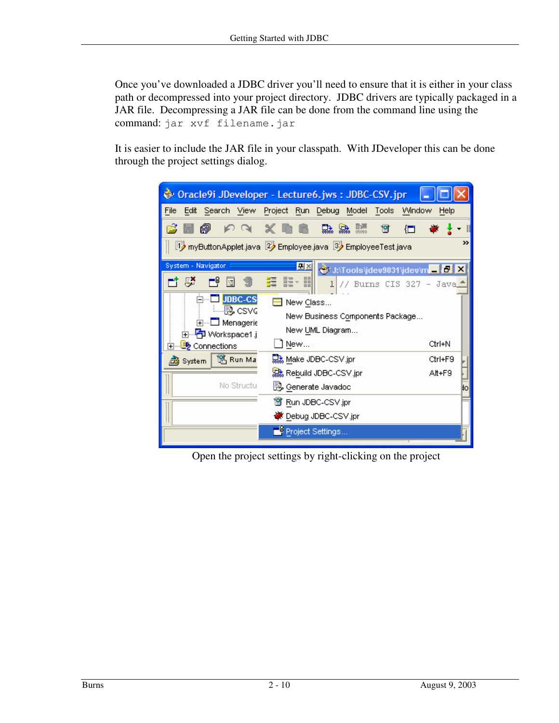Once you've downloaded a JDBC driver you'll need to ensure that it is either in your class path or decompressed into your project directory. JDBC drivers are typically packaged in a JAR file. Decompressing a JAR file can be done from the command line using the command: jar xvf filename.jar

It is easier to include the JAR file in your classpath. With JDeveloper this can be done through the project settings dialog.

|                                                                                                                                                                                                                                                                                                                                     | Oracle9i JDeveloper - Lecture6.jws: JDBC-CSV.jpr                                                                      |                         |  |  |  |
|-------------------------------------------------------------------------------------------------------------------------------------------------------------------------------------------------------------------------------------------------------------------------------------------------------------------------------------|-----------------------------------------------------------------------------------------------------------------------|-------------------------|--|--|--|
| File                                                                                                                                                                                                                                                                                                                                | Edit Search View Project Run Debug Model<br>Tools                                                                     | Window<br>Help          |  |  |  |
| $P$ $\propto$ $\times$ $\blacksquare$<br>Ã                                                                                                                                                                                                                                                                                          | 聯<br><b>品 品</b><br>19                                                                                                 | Œ                       |  |  |  |
| >><br>i1} myButtonApplet.java 2} Employee.java 3} EmployeeTest.java                                                                                                                                                                                                                                                                 |                                                                                                                       |                         |  |  |  |
| System - Navigator<br>뫼×<br>VJ:\Tools\jdev9031\jdev\m _ D X<br>$-11$<br>驑<br>譚<br>疆<br>-8<br>圛<br>$\mathbf{I}$<br>// Burns CIS 327 - Java<br>JDBC-CS<br>New Class<br>- De csvc<br>New Business Components Package<br>Menagerie<br>$+$ $-$<br>New UML Diagram<br>中 P Workspace1.j<br>New<br>Ctrl+N<br>白… <mark>By</mark> Connections |                                                                                                                       |                         |  |  |  |
| <sup>191</sup> , Run Ma<br>Bystem<br>No Structu                                                                                                                                                                                                                                                                                     | and Make JDBC-CSV jpr<br>Solar Rebuild JDBC-CSV.jpr<br>B Generate Javadoc<br>P Run JDBC-CSV.jpr<br>Debug JDBC-CSV.jpr | Ctrl+F9<br>Alt+F9<br>ĦО |  |  |  |
|                                                                                                                                                                                                                                                                                                                                     | Project Settings                                                                                                      |                         |  |  |  |

Open the project settings by right-clicking on the project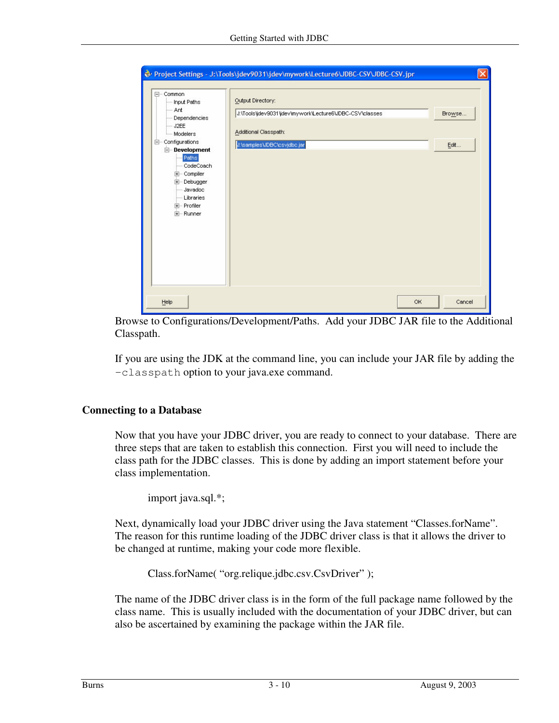|                                                                                                                                                                                                                                         | Project Settings - J:\Tools\jdev9031\jdev\mywork\Lecture6\JDBC-CSV\JDBC-CSV.jpr                                                                        |        |
|-----------------------------------------------------------------------------------------------------------------------------------------------------------------------------------------------------------------------------------------|--------------------------------------------------------------------------------------------------------------------------------------------------------|--------|
| E- Common<br>Imput Paths<br>- Ant<br>Dependencies<br>$-$ J2EE<br>Modelers<br>白… Configurations<br>Development<br>Paths<br>- CodeCoach<br><b>E</b> Compiler<br>E- Debugger<br>- Javadoc<br>Libraries<br><b>E</b> ·· Profiler<br>E-Runner | Output Directory:<br>J:\Tools\jdev9031\jdev\mywork\Lecture6\JDBC-CSV\classes<br>Browse<br>Additional Classpath:<br>J:\samples\JDBC\csvjdbc.jar<br>Edit |        |
| Help                                                                                                                                                                                                                                    | OK                                                                                                                                                     | Cancel |

Browse to Configurations/Development/Paths. Add your JDBC JAR file to the Additional Classpath.

If you are using the JDK at the command line, you can include your JAR file by adding the –classpath option to your java.exe command.

### **Connecting to a Database**

Now that you have your JDBC driver, you are ready to connect to your database. There are three steps that are taken to establish this connection. First you will need to include the class path for the JDBC classes. This is done by adding an import statement before your class implementation.

```
import java.sql.*;
```
Next, dynamically load your JDBC driver using the Java statement "Classes.forName". The reason for this runtime loading of the JDBC driver class is that it allows the driver to be changed at runtime, making your code more flexible.

Class.forName( "org.relique.jdbc.csv.CsvDriver" );

The name of the JDBC driver class is in the form of the full package name followed by the class name. This is usually included with the documentation of your JDBC driver, but can also be ascertained by examining the package within the JAR file.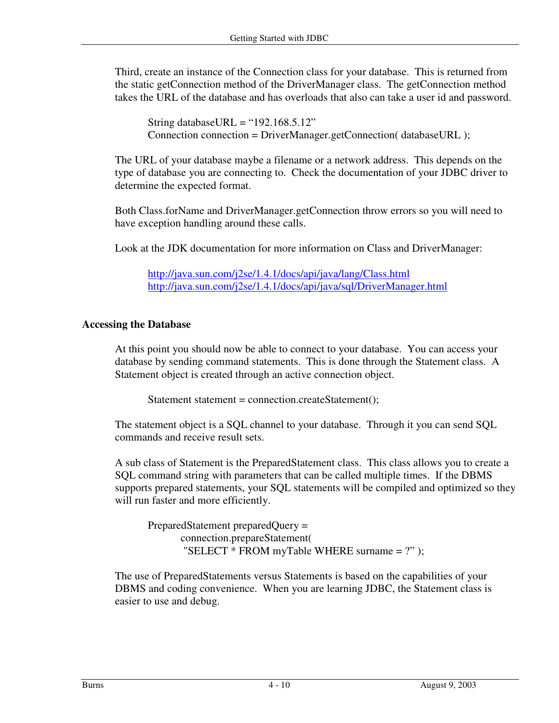Third, create an instance of the Connection class for your database. This is returned from the static getConnection method of the DriverManager class. The getConnection method takes the URL of the database and has overloads that also can take a user id and password.

String databaseURL = " $192.168.5.12$ " Connection connection = DriverManager.getConnection( databaseURL );

The URL of your database maybe a filename or a network address. This depends on the type of database you are connecting to. Check the documentation of your JDBC driver to determine the expected format.

Both Class.forName and DriverManager.getConnection throw errors so you will need to have exception handling around these calls.

Look at the JDK documentation for more information on Class and DriverManager:

http://java.sun.com/j2se/1.4.1/docs/api/java/lang/Class.html http://java.sun.com/j2se/1.4.1/docs/api/java/sql/DriverManager.html

# **Accessing the Database**

At this point you should now be able to connect to your database. You can access your database by sending command statements. This is done through the Statement class. A Statement object is created through an active connection object.

Statement statement = connection.createStatement();

The statement object is a SQL channel to your database. Through it you can send SQL commands and receive result sets.

A sub class of Statement is the PreparedStatement class. This class allows you to create a SQL command string with parameters that can be called multiple times. If the DBMS supports prepared statements, your SQL statements will be compiled and optimized so they will run faster and more efficiently.

PreparedStatement preparedQuery = connection.prepareStatement( "SELECT \* FROM myTable WHERE surname = ?" );

The use of PreparedStatements versus Statements is based on the capabilities of your DBMS and coding convenience. When you are learning JDBC, the Statement class is easier to use and debug.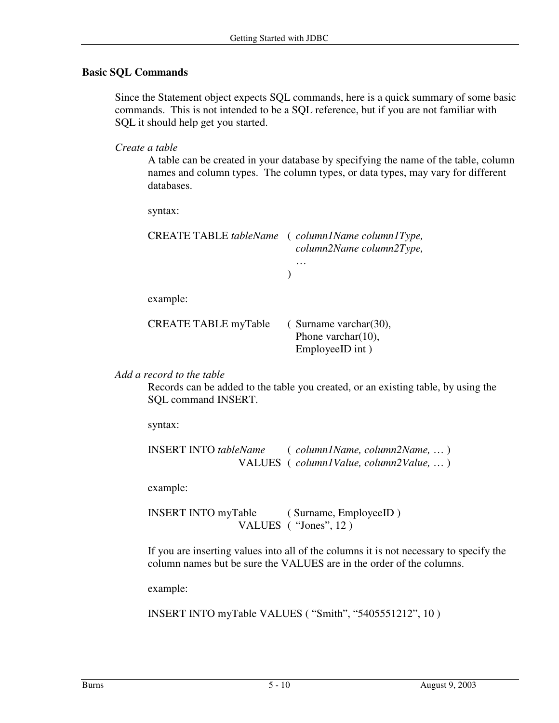## **Basic SQL Commands**

Since the Statement object expects SQL commands, here is a quick summary of some basic commands. This is not intended to be a SQL reference, but if you are not familiar with SQL it should help get you started.

*Create a table*

A table can be created in your database by specifying the name of the table, column names and column types. The column types, or data types, may vary for different databases.

syntax:

|                             | CREATE TABLE tableName (column1Name column1Type,<br>column2Name column2Type, |  |  |
|-----------------------------|------------------------------------------------------------------------------|--|--|
|                             |                                                                              |  |  |
| example:                    |                                                                              |  |  |
| <b>CREATE TABLE myTable</b> | $\epsilon$ Surname varchar $(30)$ ,<br>Phone varchar(10),                    |  |  |

*Add a record to the table*

Records can be added to the table you created, or an existing table, by using the SQL command INSERT.

EmployeeID int )

syntax:

```
INSERT INTO tableName ( column1Name, column2Name, … )
                VALUES ( column1Value, column2Value, … )
```
example:

INSERT INTO myTable ( Surname, EmployeeID ) VALUES ( "Jones", 12 )

If you are inserting values into all of the columns it is not necessary to specify the column names but be sure the VALUES are in the order of the columns.

example:

INSERT INTO myTable VALUES ( "Smith", "5405551212", 10 )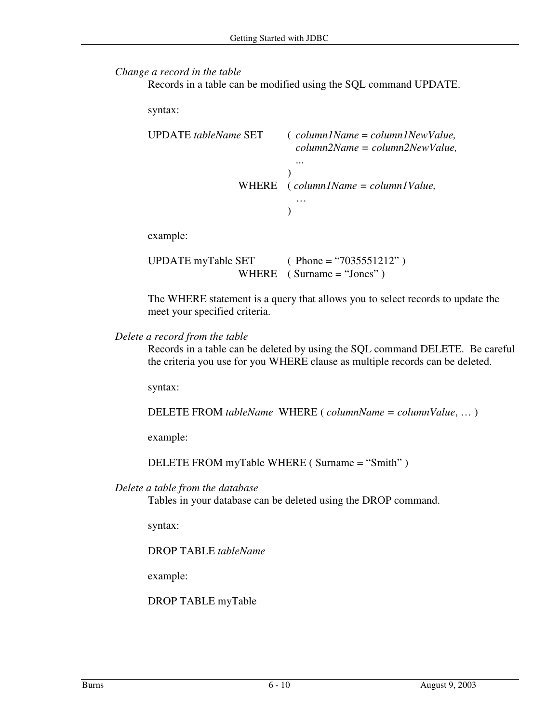#### *Change a record in the table*

Records in a table can be modified using the SQL command UPDATE.

syntax:

| UPDATE tableName SET | $\epsilon$ column1Name = column1NewValue,<br>$column2Name = column2NewValue,$                                   |  |
|----------------------|-----------------------------------------------------------------------------------------------------------------|--|
|                      | .<br>WHERE $\left( \text{column} \right)$ / $\left( \text{column} \right)$ = $\text{column}$ / $\text{Value}$ , |  |
| ومالمصمص معامر       |                                                                                                                 |  |

example:

UPDATE myTable SET  $(Phone = "7035551212")$ WHERE ( Surname  $=$  "Jones" )

The WHERE statement is a query that allows you to select records to update the meet your specified criteria.

#### *Delete a record from the table*

Records in a table can be deleted by using the SQL command DELETE. Be careful the criteria you use for you WHERE clause as multiple records can be deleted.

syntax:

DELETE FROM *tableName* WHERE ( *columnName = columnValue*, … )

example:

DELETE FROM myTable WHERE ( Surname = "Smith" )

### *Delete a table from the database*

Tables in your database can be deleted using the DROP command.

syntax:

DROP TABLE *tableName*

example:

DROP TABLE myTable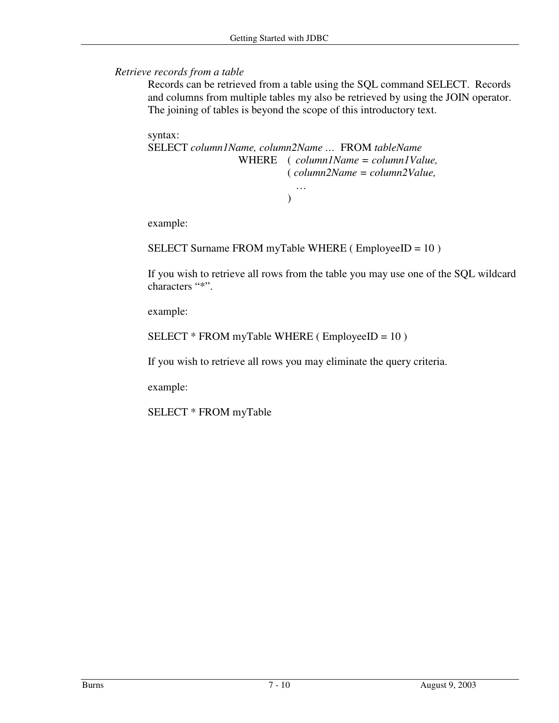*Retrieve records from a table*

Records can be retrieved from a table using the SQL command SELECT. Records and columns from multiple tables my also be retrieved by using the JOIN operator. The joining of tables is beyond the scope of this introductory text.

syntax:

```
SELECT column1Name, column2Name … FROM tableName
                WHERE ( column1Name = column1Value,
                         ( column2Name = column2Value,
                           …
                         )
```
example:

SELECT Surname FROM myTable WHERE ( EmployeeID = 10 )

If you wish to retrieve all rows from the table you may use one of the SQL wildcard characters "\*".

example:

```
SELECT * FROM myTable WHERE (EmployeeID = 10)
```
If you wish to retrieve all rows you may eliminate the query criteria.

example:

SELECT \* FROM myTable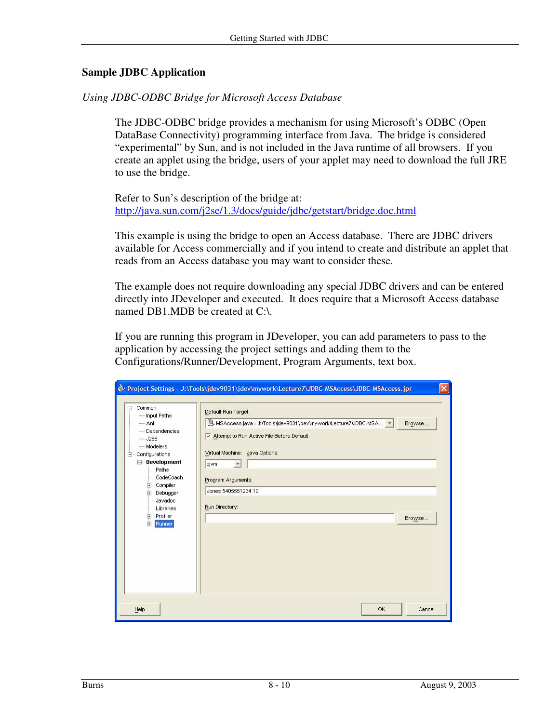### **Sample JDBC Application**

### *Using JDBC-ODBC Bridge for Microsoft Access Database*

The JDBC-ODBC bridge provides a mechanism for using Microsoft's ODBC (Open DataBase Connectivity) programming interface from Java. The bridge is considered "experimental" by Sun, and is not included in the Java runtime of all browsers. If you create an applet using the bridge, users of your applet may need to download the full JRE to use the bridge.

Refer to Sun's description of the bridge at: http://java.sun.com/j2se/1.3/docs/guide/jdbc/getstart/bridge.doc.html

This example is using the bridge to open an Access database. There are JDBC drivers available for Access commercially and if you intend to create and distribute an applet that reads from an Access database you may want to consider these.

The example does not require downloading any special JDBC drivers and can be entered directly into JDeveloper and executed. It does require that a Microsoft Access database named DB1.MDB be created at C:\.

If you are running this program in JDeveloper, you can add parameters to pass to the application by accessing the project settings and adding them to the Configurations/Runner/Development, Program Arguments, text box.

|                                                                                                                                                                                                                                                        | @v Project Settings - J:\Tools\jdev9031\jdev\mywork\Lecture7\JDBC-MSAccess\JDBC-MSAccess.jpr<br>×                                                                                                                                                                     |
|--------------------------------------------------------------------------------------------------------------------------------------------------------------------------------------------------------------------------------------------------------|-----------------------------------------------------------------------------------------------------------------------------------------------------------------------------------------------------------------------------------------------------------------------|
| El-Common<br>Imput Paths<br>$-$ Ant<br>Dependencies<br>$-$ J2EE<br>Modelers<br>Configurations<br>F-<br><b>E</b> -Development<br>— Paths<br>- CodeCoach<br>E- Compiler<br>E- Debugger<br>- Javadoc<br>Libraries<br>E- Profiler<br>E <sub>"</sub> Runner | Default Run Target:<br>B. MSAccess.java - J:\Tools\jdev9031\jdev\mywork\Lecture7\JDBC-MSA ▼<br>Browse<br>Attempt to Run Active File Before Default<br>Virtual Machine: Java Options:<br>ojvm<br>Program Arguments:<br>Jones 5405551234 10<br>Run Directory:<br>Browse |
| Help                                                                                                                                                                                                                                                   | OK<br>Cancel                                                                                                                                                                                                                                                          |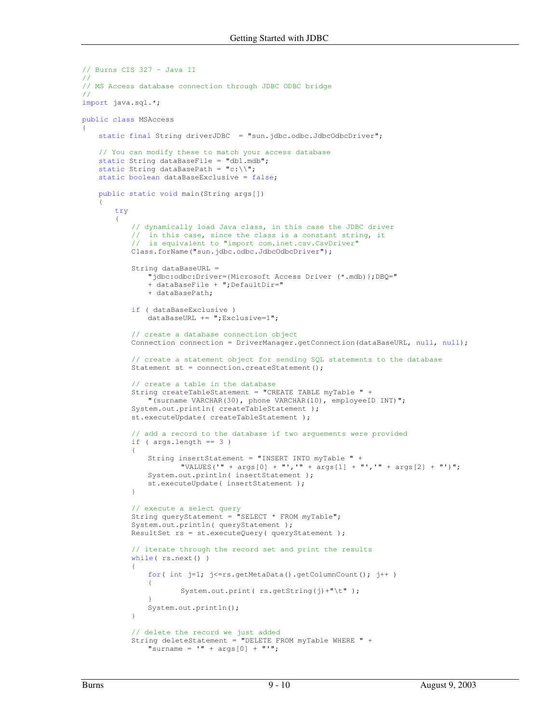```
// Burns CIS 327 - Java II
//
// MS Access database connection through JDBC ODBC bridge
//
import java.sql.*;
public class MSAccess
{
   static final String driverJDBC = "sun.jdbc.odbc.JdbcOdbcDriver";
   // You can modify these to match your access database
   static String dataBaseFile = "db1.mdb";
   static String dataBasePath = "c:\\\",
   static boolean dataBaseExclusive = false;
   public static void main(String args[])
    {
       try
       {
           // dynamically load Java class, in this case the JDBC driver
           // in this case, since the class is a constant string, it
           // is equivalent to "import com.inet.csv.CsvDriver"
           Class.forName("sun.jdbc.odbc.JdbcOdbcDriver");
           String dataBaseURL =
               "jdbc:odbc:Driver={Microsoft Access Driver (*.mdb)};DBQ="
               + dataBaseFile + ";DefaultDir="
               + dataBasePath;
           if ( dataBaseExclusive )
               dataBaseURL += ";Exclusive=1";
           // create a database connection object
           Connection connection = DriverManager.getConnection(dataBaseURL, null, null);
           // create a statement object for sending SQL statements to the database
           Statement st = connection.createStatement();
           // create a table in the database
           String createTableStatement = "CREATE TABLE myTable " +
               "(surname VARCHAR(30), phone VARCHAR(10), employeeID INT)";
           System.out.println( createTableStatement );
           st.executeUpdate( createTableStatement );
           // add a record to the database if two arguements were provided
           if ( args.length == 3 )
           {
               String insertStatement = "INSERT INTO myTable " +
                       "VALUES('" + args[0] + "','" + args[1] + "','" + args[2] + "')";
               System.out.println( insertStatement );
               st.executeUpdate( insertStatement );
           }
           // execute a select query
           String queryStatement = \overline{\text{V}}SELECT * FROM myTable";
           System.out.println( queryStatement ) ;
           ResultSet rs = st.executeQuery( queryStatement );
           // iterate through the record set and print the results
           while( rs.next() )
           {
               for( int j=1; j<=rs.getMetaData().getColumnCount(); j++ )
               {
                      System.out.print( rs.getString(j)+"\t");
               }
               System.out.println();
           }
           // delete the record we just added
           String deleteStatement = "DELETE FROM myTable WHERE " +
               "surname = " + arg[0] + "";
```